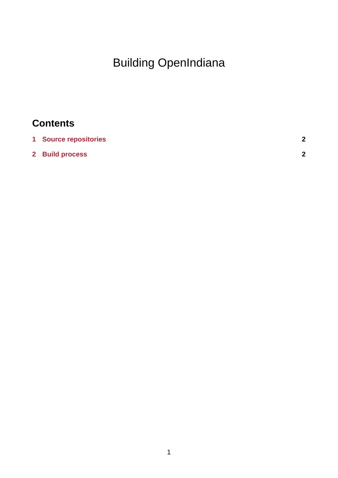## Building OpenIndiana

## **Contents**

| 1 Source repositories | ◠ |
|-----------------------|---|
| 2 Build process       | ົ |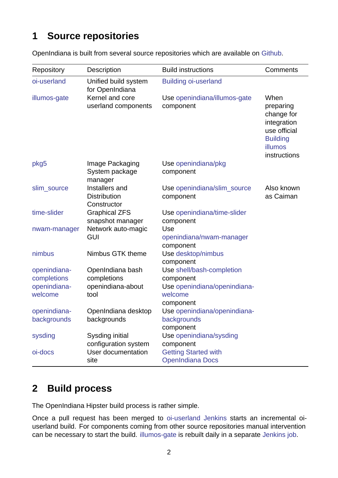## **1 Source repositories**

| Repository                                             | Description                                                  | <b>Build instructions</b>                                                                      | Comments                                                                                                     |
|--------------------------------------------------------|--------------------------------------------------------------|------------------------------------------------------------------------------------------------|--------------------------------------------------------------------------------------------------------------|
| oi-userland                                            | Unified build system<br>for OpenIndiana                      | <b>Building oi-userland</b>                                                                    |                                                                                                              |
| illumos-gate                                           | Kernel and core<br>userland components                       | Use openindiana/illumos-gate<br>component                                                      | When<br>preparing<br>change for<br>integration<br>use official<br><b>Building</b><br>illumos<br>instructions |
| pkg5                                                   | Image Packaging<br>System package<br>manager                 | Use openindiana/pkg<br>component                                                               |                                                                                                              |
| slim source                                            | Installers and<br><b>Distribution</b><br>Constructor         | Use openindiana/slim source<br>component                                                       | Also known<br>as Caiman                                                                                      |
| time-slider                                            | <b>Graphical ZFS</b><br>snapshot manager                     | Use openindiana/time-slider<br>component                                                       |                                                                                                              |
| nwam-manager                                           | Network auto-magic<br><b>GUI</b>                             | Use<br>openindiana/nwam-manager<br>component                                                   |                                                                                                              |
| nimbus                                                 | Nimbus GTK theme                                             | Use desktop/nimbus<br>component                                                                |                                                                                                              |
| openindiana-<br>completions<br>openindiana-<br>welcome | OpenIndiana bash<br>completions<br>openindiana-about<br>tool | Use shell/bash-completion<br>component<br>Use openindiana/openindiana-<br>welcome<br>component |                                                                                                              |
| openindiana-<br>backgrounds                            | OpenIndiana desktop<br>backgrounds                           | Use openindiana/openindiana-<br>backgrounds<br>component                                       |                                                                                                              |
| sysding                                                | Sysding initial                                              | Use openindiana/sysding                                                                        |                                                                                                              |
| oi-docs                                                | configuration system<br>User documentation<br>site           | component<br><b>Getting Started with</b><br><b>OpenIndiana Docs</b>                            |                                                                                                              |

OpenIndiana is built from several source repositories which are available on Github.

## **[2 B](https://github.com/OpenIndiana/oi-docs)uild process**

The OpenIndiana Hipster build process is rather simple.

Once a pull request has been merged to oi-userland Jenkins starts an incremental oiuserland build. For components coming from other source repositories manual intervention can be necessary to start the build. illumos-gate is rebuilt daily in a separate Jenkins job.